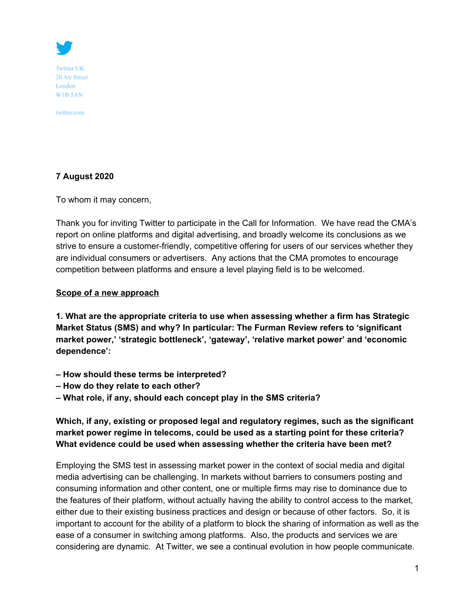

**Twitter UK** 20 Air Street London WIB 5AN

twitter.com

#### **7 August 2020**

To whom it may concern,

Thank you for inviting Twitter to participate in the Call for Information. We have read the CMA's report on online platforms and digital advertising, and broadly welcome its conclusions as we strive to ensure a customer-friendly, competitive offering for users of our services whether they are individual consumers or advertisers. Any actions that the CMA promotes to encourage competition between platforms and ensure a level playing field is to be welcomed.

#### **Scope of a new approach**

**1. What are the appropriate criteria to use when assessing whether a firm has Strategic Market Status (SMS) and why? In particular: The Furman Review refers to 'significant market power,' 'strategic bottleneck', 'gateway', 'relative market power' and 'economic dependence':**

- **How should these terms be interpreted?**
- **How do they relate to each other?**
- **What role, if any, should each concept play in the SMS criteria?**

**Which, if any, existing or proposed legal and regulatory regimes, such as the significant market power regime in telecoms, could be used as a starting point for these criteria? What evidence could be used when assessing whether the criteria have been met?**

Employing the SMS test in assessing market power in the context of social media and digital media advertising can be challenging. In markets without barriers to consumers posting and consuming information and other content, one or multiple firms may rise to dominance due to the features of their platform, without actually having the ability to control access to the market, either due to their existing business practices and design or because of other factors. So, it is important to account for the ability of a platform to block the sharing of information as well as the ease of a consumer in switching among platforms. Also, the products and services we are considering are dynamic. At Twitter, we see a continual evolution in how people communicate.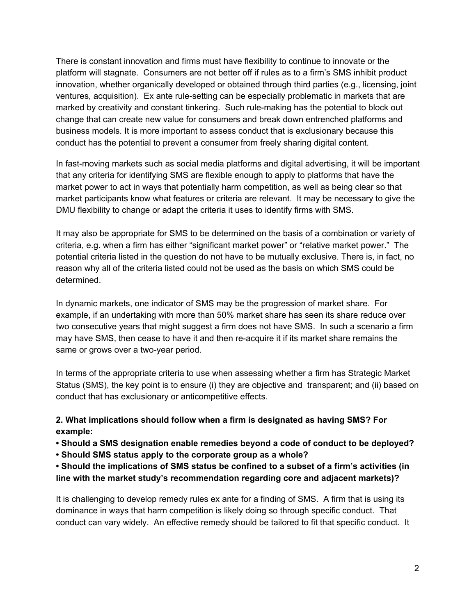There is constant innovation and firms must have flexibility to continue to innovate or the platform will stagnate. Consumers are not better off if rules as to a firm's SMS inhibit product innovation, whether organically developed or obtained through third parties (e.g., licensing, joint ventures, acquisition). Ex ante rule-setting can be especially problematic in markets that are marked by creativity and constant tinkering. Such rule-making has the potential to block out change that can create new value for consumers and break down entrenched platforms and business models. It is more important to assess conduct that is exclusionary because this conduct has the potential to prevent a consumer from freely sharing digital content.

In fast-moving markets such as social media platforms and digital advertising, it will be important that any criteria for identifying SMS are flexible enough to apply to platforms that have the market power to act in ways that potentially harm competition, as well as being clear so that market participants know what features or criteria are relevant. It may be necessary to give the DMU flexibility to change or adapt the criteria it uses to identify firms with SMS.

It may also be appropriate for SMS to be determined on the basis of a combination or variety of criteria, e.g. when a firm has either "significant market power" or "relative market power." The potential criteria listed in the question do not have to be mutually exclusive. There is, in fact, no reason why all of the criteria listed could not be used as the basis on which SMS could be determined.

In dynamic markets, one indicator of SMS may be the progression of market share. For example, if an undertaking with more than 50% market share has seen its share reduce over two consecutive years that might suggest a firm does not have SMS. In such a scenario a firm may have SMS, then cease to have it and then re-acquire it if its market share remains the same or grows over a two-year period.

In terms of the appropriate criteria to use when assessing whether a firm has Strategic Market Status (SMS), the key point is to ensure (i) they are objective and transparent; and (ii) based on conduct that has exclusionary or anticompetitive effects.

# **2. What implications should follow when a firm is designated as having SMS? For example:**

- **Should a SMS designation enable remedies beyond a code of conduct to be deployed?**
- **Should SMS status apply to the corporate group as a whole?**

**• Should the implications of SMS status be confined to a subset of a firm's activities (in line with the market study's recommendation regarding core and adjacent markets)?**

It is challenging to develop remedy rules ex ante for a finding of SMS. A firm that is using its dominance in ways that harm competition is likely doing so through specific conduct. That conduct can vary widely. An effective remedy should be tailored to fit that specific conduct. It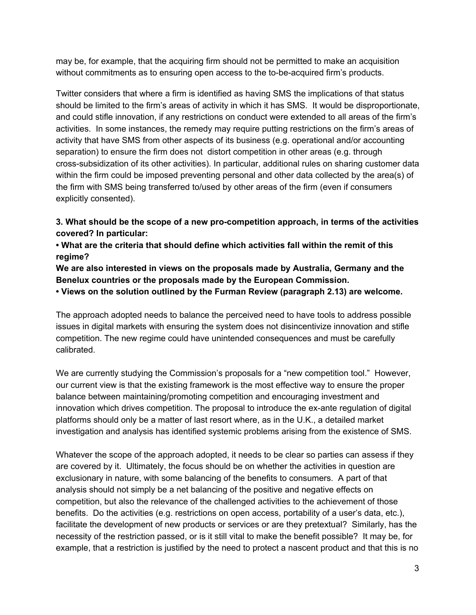may be, for example, that the acquiring firm should not be permitted to make an acquisition without commitments as to ensuring open access to the to-be-acquired firm's products.

Twitter considers that where a firm is identified as having SMS the implications of that status should be limited to the firm's areas of activity in which it has SMS. It would be disproportionate, and could stifle innovation, if any restrictions on conduct were extended to all areas of the firm's activities. In some instances, the remedy may require putting restrictions on the firm's areas of activity that have SMS from other aspects of its business (e.g. operational and/or accounting separation) to ensure the firm does not distort competition in other areas (e.g. through cross-subsidization of its other activities). In particular, additional rules on sharing customer data within the firm could be imposed preventing personal and other data collected by the area(s) of the firm with SMS being transferred to/used by other areas of the firm (even if consumers explicitly consented).

**3. What should be the scope of a new pro-competition approach, in terms of the activities covered? In particular:**

**• What are the criteria that should define which activities fall within the remit of this regime?**

**We are also interested in views on the proposals made by Australia, Germany and the Benelux countries or the proposals made by the European Commission.**

**• Views on the solution outlined by the Furman Review (paragraph 2.13) are welcome.**

The approach adopted needs to balance the perceived need to have tools to address possible issues in digital markets with ensuring the system does not disincentivize innovation and stifle competition. The new regime could have unintended consequences and must be carefully calibrated.

We are currently studying the Commission's proposals for a "new competition tool." However, our current view is that the existing framework is the most effective way to ensure the proper balance between maintaining/promoting competition and encouraging investment and innovation which drives competition. The proposal to introduce the ex-ante regulation of digital platforms should only be a matter of last resort where, as in the U.K., a detailed market investigation and analysis has identified systemic problems arising from the existence of SMS.

Whatever the scope of the approach adopted, it needs to be clear so parties can assess if they are covered by it. Ultimately, the focus should be on whether the activities in question are exclusionary in nature, with some balancing of the benefits to consumers. A part of that analysis should not simply be a net balancing of the positive and negative effects on competition, but also the relevance of the challenged activities to the achievement of those benefits. Do the activities (e.g. restrictions on open access, portability of a user's data, etc.), facilitate the development of new products or services or are they pretextual? Similarly, has the necessity of the restriction passed, or is it still vital to make the benefit possible? It may be, for example, that a restriction is justified by the need to protect a nascent product and that this is no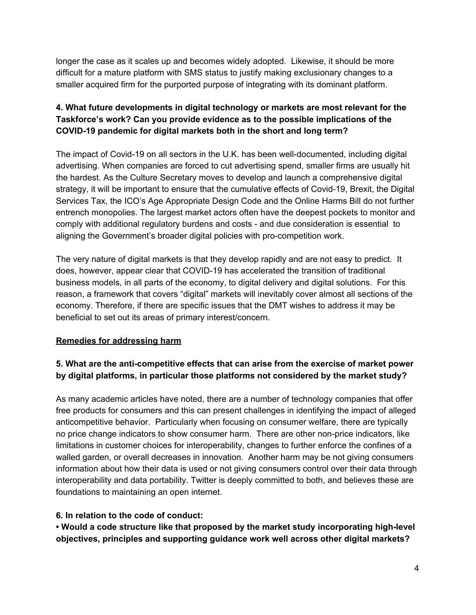longer the case as it scales up and becomes widely adopted. Likewise, it should be more difficult for a mature platform with SMS status to justify making exclusionary changes to a smaller acquired firm for the purported purpose of integrating with its dominant platform.

# **4. What future developments in digital technology or markets are most relevant for the Taskforce's work? Can you provide evidence as to the possible implications of the COVID-19 pandemic for digital markets both in the short and long term?**

The impact of Covid-19 on all sectors in the U.K. has been well-documented, including digital advertising. When companies are forced to cut advertising spend, smaller firms are usually hit the hardest. As the Culture Secretary moves to develop and launch a comprehensive digital strategy, it will be important to ensure that the cumulative effects of Covid-19, Brexit, the Digital Services Tax, the ICO's Age Appropriate Design Code and the Online Harms Bill do not further entrench monopolies. The largest market actors often have the deepest pockets to monitor and comply with additional regulatory burdens and costs - and due consideration is essential to aligning the Government's broader digital policies with pro-competition work.

The very nature of digital markets is that they develop rapidly and are not easy to predict. It does, however, appear clear that COVID-19 has accelerated the transition of traditional business models, in all parts of the economy, to digital delivery and digital solutions. For this reason, a framework that covers "digital" markets will inevitably cover almost all sections of the economy. Therefore, if there are specific issues that the DMT wishes to address it may be beneficial to set out its areas of primary interest/concern.

### **Remedies for addressing harm**

# **5. What are the anti-competitive effects that can arise from the exercise of market power by digital platforms, in particular those platforms not considered by the market study?**

As many academic articles have noted, there are a number of technology companies that offer free products for consumers and this can present challenges in identifying the impact of alleged anticompetitive behavior. Particularly when focusing on consumer welfare, there are typically no price change indicators to show consumer harm. There are other non-price indicators, like limitations in customer choices for interoperability, changes to further enforce the confines of a walled garden, or overall decreases in innovation. Another harm may be not giving consumers information about how their data is used or not giving consumers control over their data through interoperability and data portability. Twitter is deeply committed to both, and believes these are foundations to maintaining an open internet.

### **6. In relation to the code of conduct:**

**• Would a code structure like that proposed by the market study incorporating high-level objectives, principles and supporting guidance work well across other digital markets?**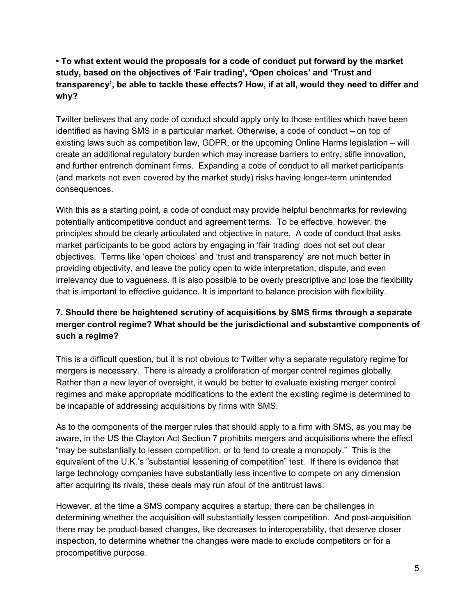# **• To what extent would the proposals for a code of conduct put forward by the market study, based on the objectives of 'Fair trading', 'Open choices' and 'Trust and transparency', be able to tackle these effects? How, if at all, would they need to differ and why?**

Twitter believes that any code of conduct should apply only to those entities which have been identified as having SMS in a particular market. Otherwise, a code of conduct – on top of existing laws such as competition law, GDPR, or the upcoming Online Harms legislation – will create an additional regulatory burden which may increase barriers to entry, stifle innovation, and further entrench dominant firms. Expanding a code of conduct to all market participants (and markets not even covered by the market study) risks having longer-term unintended consequences.

With this as a starting point, a code of conduct may provide helpful benchmarks for reviewing potentially anticompetitive conduct and agreement terms. To be effective, however, the principles should be clearly articulated and objective in nature. A code of conduct that asks market participants to be good actors by engaging in 'fair trading' does not set out clear objectives. Terms like 'open choices' and 'trust and transparency' are not much better in providing objectivity, and leave the policy open to wide interpretation, dispute, and even irrelevancy due to vagueness. It is also possible to be overly prescriptive and lose the flexibility that is important to effective guidance. It is important to balance precision with flexibility.

# **7. Should there be heightened scrutiny of acquisitions by SMS firms through a separate merger control regime? What should be the jurisdictional and substantive components of such a regime?**

This is a difficult question, but it is not obvious to Twitter why a separate regulatory regime for mergers is necessary. There is already a proliferation of merger control regimes globally. Rather than a new layer of oversight, it would be better to evaluate existing merger control regimes and make appropriate modifications to the extent the existing regime is determined to be incapable of addressing acquisitions by firms with SMS.

As to the components of the merger rules that should apply to a firm with SMS, as you may be aware, in the US the Clayton Act Section 7 prohibits mergers and acquisitions where the effect "may be substantially to lessen competition, or to tend to create a monopoly." This is the equivalent of the U.K.'s "substantial lessening of competition" test. If there is evidence that large technology companies have substantially less incentive to compete on any dimension after acquiring its rivals, these deals may run afoul of the antitrust laws.

However, at the time a SMS company acquires a startup, there can be challenges in determining whether the acquisition will substantially lessen competition. And post-acquisition there may be product-based changes, like decreases to interoperability, that deserve closer inspection, to determine whether the changes were made to exclude competitors or for a procompetitive purpose.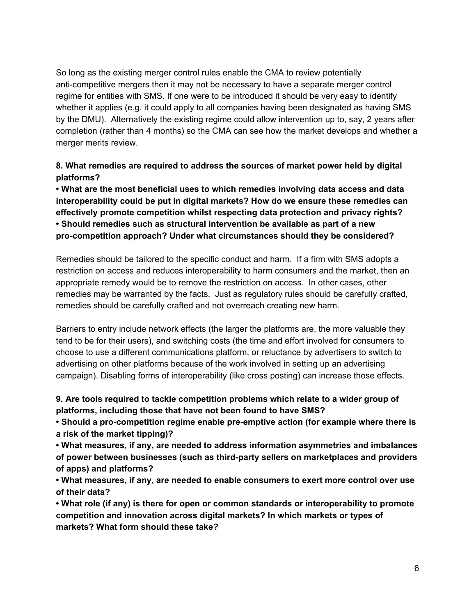So long as the existing merger control rules enable the CMA to review potentially anti-competitive mergers then it may not be necessary to have a separate merger control regime for entities with SMS. If one were to be introduced it should be very easy to identify whether it applies (e.g. it could apply to all companies having been designated as having SMS by the DMU). Alternatively the existing regime could allow intervention up to, say, 2 years after completion (rather than 4 months) so the CMA can see how the market develops and whether a merger merits review.

**8. What remedies are required to address the sources of market power held by digital platforms?**

**• What are the most beneficial uses to which remedies involving data access and data interoperability could be put in digital markets? How do we ensure these remedies can effectively promote competition whilst respecting data protection and privacy rights? • Should remedies such as structural intervention be available as part of a new pro-competition approach? Under what circumstances should they be considered?**

Remedies should be tailored to the specific conduct and harm. If a firm with SMS adopts a restriction on access and reduces interoperability to harm consumers and the market, then an appropriate remedy would be to remove the restriction on access. In other cases, other remedies may be warranted by the facts. Just as regulatory rules should be carefully crafted, remedies should be carefully crafted and not overreach creating new harm.

Barriers to entry include network effects (the larger the platforms are, the more valuable they tend to be for their users), and switching costs (the time and effort involved for consumers to choose to use a different communications platform, or reluctance by advertisers to switch to advertising on other platforms because of the work involved in setting up an advertising campaign). Disabling forms of interoperability (like cross posting) can increase those effects.

**9. Are tools required to tackle competition problems which relate to a wider group of platforms, including those that have not been found to have SMS?**

**• Should a pro-competition regime enable pre-emptive action (for example where there is a risk of the market tipping)?**

**• What measures, if any, are needed to address information asymmetries and imbalances of power between businesses (such as third-party sellers on marketplaces and providers of apps) and platforms?**

**• What measures, if any, are needed to enable consumers to exert more control over use of their data?**

**• What role (if any) is there for open or common standards or interoperability to promote competition and innovation across digital markets? In which markets or types of markets? What form should these take?**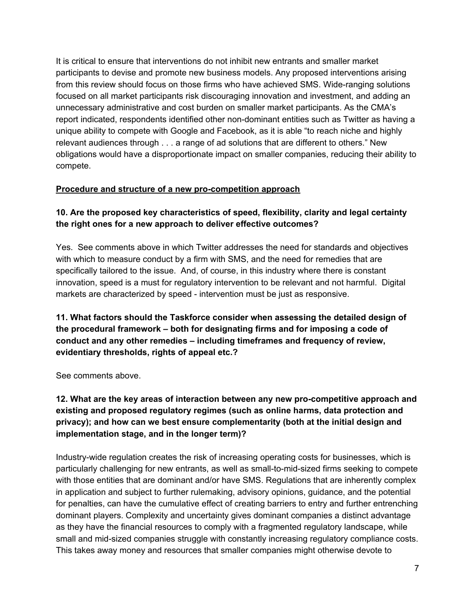It is critical to ensure that interventions do not inhibit new entrants and smaller market participants to devise and promote new business models. Any proposed interventions arising from this review should focus on those firms who have achieved SMS. Wide-ranging solutions focused on all market participants risk discouraging innovation and investment, and adding an unnecessary administrative and cost burden on smaller market participants. As the CMA's report indicated, respondents identified other non-dominant entities such as Twitter as having a unique ability to compete with Google and Facebook, as it is able "to reach niche and highly relevant audiences through . . . a range of ad solutions that are different to others." New obligations would have a disproportionate impact on smaller companies, reducing their ability to compete.

### **Procedure and structure of a new pro-competition approach**

### **10. Are the proposed key characteristics of speed, flexibility, clarity and legal certainty the right ones for a new approach to deliver effective outcomes?**

Yes. See comments above in which Twitter addresses the need for standards and objectives with which to measure conduct by a firm with SMS, and the need for remedies that are specifically tailored to the issue. And, of course, in this industry where there is constant innovation, speed is a must for regulatory intervention to be relevant and not harmful. Digital markets are characterized by speed - intervention must be just as responsive.

**11. What factors should the Taskforce consider when assessing the detailed design of the procedural framework – both for designating firms and for imposing a code of conduct and any other remedies – including timeframes and frequency of review, evidentiary thresholds, rights of appeal etc.?**

See comments above.

### **12. What are the key areas of interaction between any new pro-competitive approach and existing and proposed regulatory regimes (such as online harms, data protection and privacy); and how can we best ensure complementarity (both at the initial design and implementation stage, and in the longer term)?**

Industry-wide regulation creates the risk of increasing operating costs for businesses, which is particularly challenging for new entrants, as well as small-to-mid-sized firms seeking to compete with those entities that are dominant and/or have SMS. Regulations that are inherently complex in application and subject to further rulemaking, advisory opinions, guidance, and the potential for penalties, can have the cumulative effect of creating barriers to entry and further entrenching dominant players. Complexity and uncertainty gives dominant companies a distinct advantage as they have the financial resources to comply with a fragmented regulatory landscape, while small and mid-sized companies struggle with constantly increasing regulatory compliance costs. This takes away money and resources that smaller companies might otherwise devote to